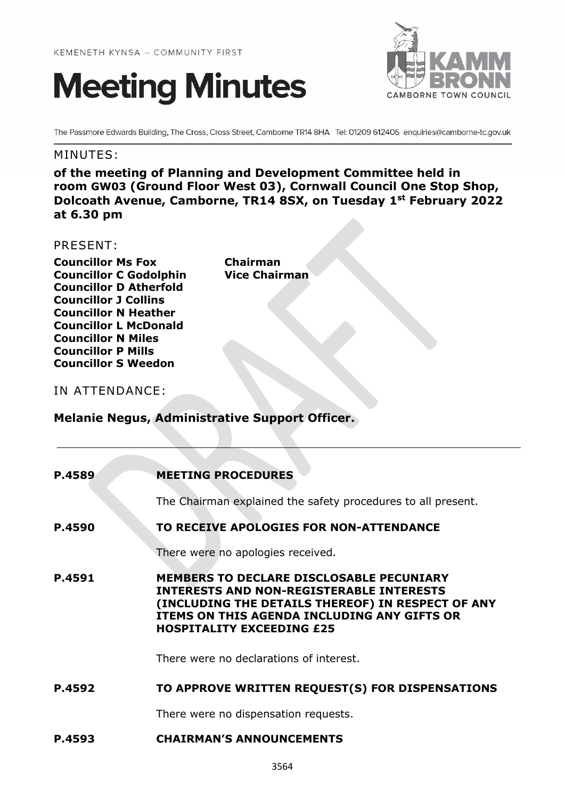



The Passmore Edwards Building, The Cross, Cross Street, Camborne TR14 8HA Tel: 01209 612406 enquiries@camborne-tc.gov.uk

# MINUTES:

**of the meeting of Planning and Development Committee held in room GW03 (Ground Floor West 03), Cornwall Council One Stop Shop, Dolcoath Avenue, Camborne, TR14 8SX, on Tuesday 1st February 2022 at 6.30 pm**

# PRESENT:

**Councillor Ms Fox Chairman Councillor C Godolphin Vice Chairman Councillor D Atherfold Councillor J Collins Councillor N Heather Councillor L McDonald Councillor N Miles Councillor P Mills Councillor S Weedon**

# IN ATTENDANCE:

# **Melanie Negus, Administrative Support Officer.**

| P.4589 | <b>MEETING PROCEDURES</b>                                                                                                                                                                                                                  |
|--------|--------------------------------------------------------------------------------------------------------------------------------------------------------------------------------------------------------------------------------------------|
|        | The Chairman explained the safety procedures to all present.                                                                                                                                                                               |
| P.4590 | TO RECEIVE APOLOGIES FOR NON-ATTENDANCE                                                                                                                                                                                                    |
|        | There were no apologies received.                                                                                                                                                                                                          |
| P.4591 | <b>MEMBERS TO DECLARE DISCLOSABLE PECUNIARY</b><br><b>INTERESTS AND NON-REGISTERABLE INTERESTS</b><br>(INCLUDING THE DETAILS THEREOF) IN RESPECT OF ANY<br>ITEMS ON THIS AGENDA INCLUDING ANY GIFTS OR<br><b>HOSPITALITY EXCEEDING £25</b> |
|        | There were no declarations of interest.                                                                                                                                                                                                    |
| P.4592 | TO APPROVE WRITTEN REQUEST(S) FOR DISPENSATIONS                                                                                                                                                                                            |
|        | There were no dispensation requests.                                                                                                                                                                                                       |
| P.4593 | <b>CHAIRMAN'S ANNOUNCEMENTS</b>                                                                                                                                                                                                            |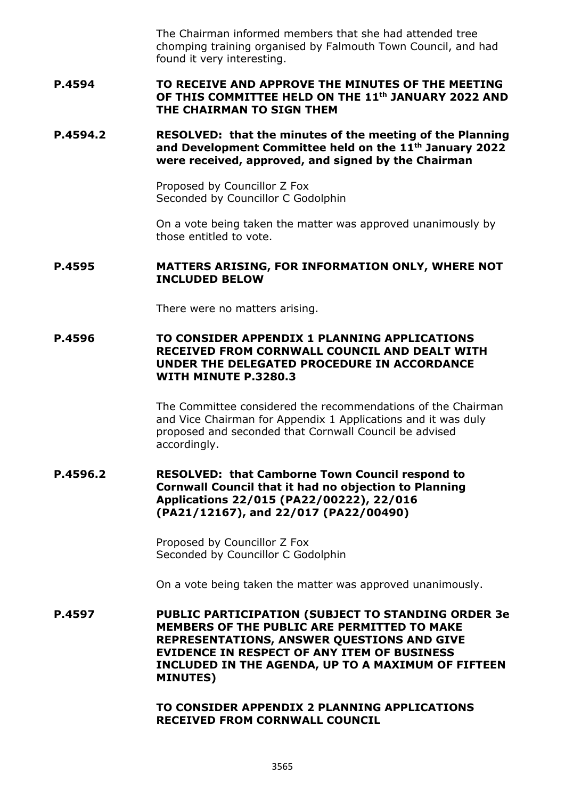The Chairman informed members that she had attended tree chomping training organised by Falmouth Town Council, and had found it very interesting.

### **P.4594 TO RECEIVE AND APPROVE THE MINUTES OF THE MEETING OF THIS COMMITTEE HELD ON THE 11th JANUARY 2022 AND THE CHAIRMAN TO SIGN THEM**

### **P.4594.2 RESOLVED: that the minutes of the meeting of the Planning and Development Committee held on the 11th January 2022 were received, approved, and signed by the Chairman**

Proposed by Councillor Z Fox Seconded by Councillor C Godolphin

On a vote being taken the matter was approved unanimously by those entitled to vote.

### **P.4595 MATTERS ARISING, FOR INFORMATION ONLY, WHERE NOT INCLUDED BELOW**

There were no matters arising.

### **P.4596 TO CONSIDER APPENDIX 1 PLANNING APPLICATIONS RECEIVED FROM CORNWALL COUNCIL AND DEALT WITH UNDER THE DELEGATED PROCEDURE IN ACCORDANCE WITH MINUTE P.3280.3**

The Committee considered the recommendations of the Chairman and Vice Chairman for Appendix 1 Applications and it was duly proposed and seconded that Cornwall Council be advised accordingly.

### **P.4596.2 RESOLVED: that Camborne Town Council respond to Cornwall Council that it had no objection to Planning Applications 22/015 (PA22/00222), 22/016 (PA21/12167), and 22/017 (PA22/00490)**

Proposed by Councillor Z Fox Seconded by Councillor C Godolphin

On a vote being taken the matter was approved unanimously.

**P.4597 PUBLIC PARTICIPATION (SUBJECT TO STANDING ORDER 3e MEMBERS OF THE PUBLIC ARE PERMITTED TO MAKE REPRESENTATIONS, ANSWER QUESTIONS AND GIVE EVIDENCE IN RESPECT OF ANY ITEM OF BUSINESS INCLUDED IN THE AGENDA, UP TO A MAXIMUM OF FIFTEEN MINUTES)**

> **TO CONSIDER APPENDIX 2 PLANNING APPLICATIONS RECEIVED FROM CORNWALL COUNCIL**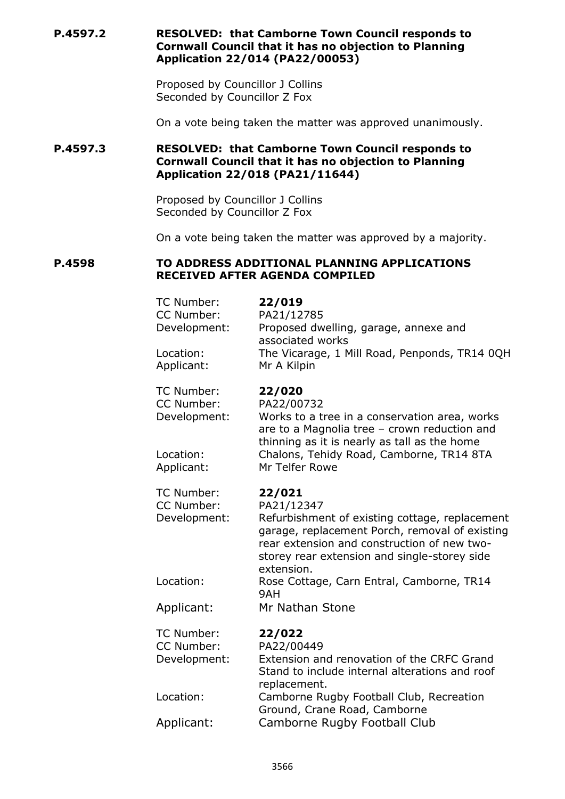**P.4597.2 RESOLVED: that Camborne Town Council responds to Cornwall Council that it has no objection to Planning Application 22/014 (PA22/00053)**

> Proposed by Councillor J Collins Seconded by Councillor Z Fox

On a vote being taken the matter was approved unanimously.

# **P.4597.3 RESOLVED: that Camborne Town Council responds to Cornwall Council that it has no objection to Planning Application 22/018 (PA21/11644)**

Proposed by Councillor J Collins Seconded by Councillor Z Fox

On a vote being taken the matter was approved by a majority.

#### **P.4598 TO ADDRESS ADDITIONAL PLANNING APPLICATIONS RECEIVED AFTER AGENDA COMPILED**

| 22/019<br>PA21/12785<br>Proposed dwelling, garage, annexe and<br>associated works<br>The Vicarage, 1 Mill Road, Penponds, TR14 0QH<br>Mr A Kilpin                                                                                     |
|---------------------------------------------------------------------------------------------------------------------------------------------------------------------------------------------------------------------------------------|
| 22/020<br>PA22/00732<br>Works to a tree in a conservation area, works<br>are to a Magnolia tree - crown reduction and<br>thinning as it is nearly as tall as the home<br>Chalons, Tehidy Road, Camborne, TR14 8TA<br>Mr Telfer Rowe   |
| 22/021<br>PA21/12347<br>Refurbishment of existing cottage, replacement<br>garage, replacement Porch, removal of existing<br>rear extension and construction of new two-<br>storey rear extension and single-storey side<br>extension. |
| Rose Cottage, Carn Entral, Camborne, TR14<br>9AH                                                                                                                                                                                      |
| Mr Nathan Stone                                                                                                                                                                                                                       |
| 22/022<br>PA22/00449<br>Extension and renovation of the CRFC Grand<br>Stand to include internal alterations and roof<br>replacement.                                                                                                  |
| Camborne Rugby Football Club, Recreation<br>Ground, Crane Road, Camborne                                                                                                                                                              |
| Camborne Rugby Football Club                                                                                                                                                                                                          |
|                                                                                                                                                                                                                                       |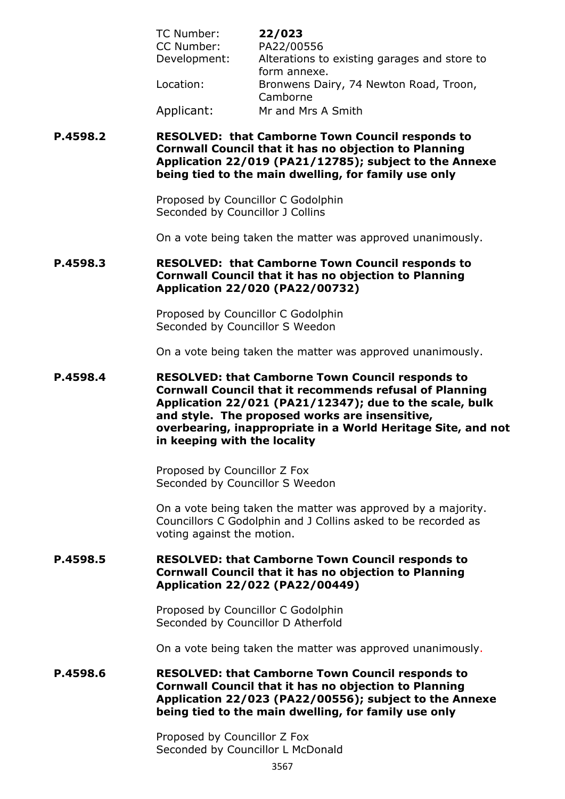| TC Number:   | 22/023                                       |
|--------------|----------------------------------------------|
| CC Number:   | PA22/00556                                   |
| Development: | Alterations to existing garages and store to |
|              | form annexe.                                 |
| Location:    | Bronwens Dairy, 74 Newton Road, Troon,       |
|              | Camborne                                     |
| Applicant:   | Mr and Mrs A Smith                           |

### **P.4598.2 RESOLVED: that Camborne Town Council responds to Cornwall Council that it has no objection to Planning Application 22/019 (PA21/12785); subject to the Annexe being tied to the main dwelling, for family use only**

Proposed by Councillor C Godolphin Seconded by Councillor J Collins

On a vote being taken the matter was approved unanimously.

# **P.4598.3 RESOLVED: that Camborne Town Council responds to Cornwall Council that it has no objection to Planning Application 22/020 (PA22/00732)**

Proposed by Councillor C Godolphin Seconded by Councillor S Weedon

On a vote being taken the matter was approved unanimously.

**P.4598.4 RESOLVED: that Camborne Town Council responds to Cornwall Council that it recommends refusal of Planning Application 22/021 (PA21/12347); due to the scale, bulk and style. The proposed works are insensitive, overbearing, inappropriate in a World Heritage Site, and not in keeping with the locality**

> Proposed by Councillor Z Fox Seconded by Councillor S Weedon

On a vote being taken the matter was approved by a majority. Councillors C Godolphin and J Collins asked to be recorded as voting against the motion.

### **P.4598.5 RESOLVED: that Camborne Town Council responds to Cornwall Council that it has no objection to Planning Application 22/022 (PA22/00449)**

Proposed by Councillor C Godolphin Seconded by Councillor D Atherfold

On a vote being taken the matter was approved unanimously.

**P.4598.6 RESOLVED: that Camborne Town Council responds to Cornwall Council that it has no objection to Planning Application 22/023 (PA22/00556); subject to the Annexe being tied to the main dwelling, for family use only**

> Proposed by Councillor Z Fox Seconded by Councillor L McDonald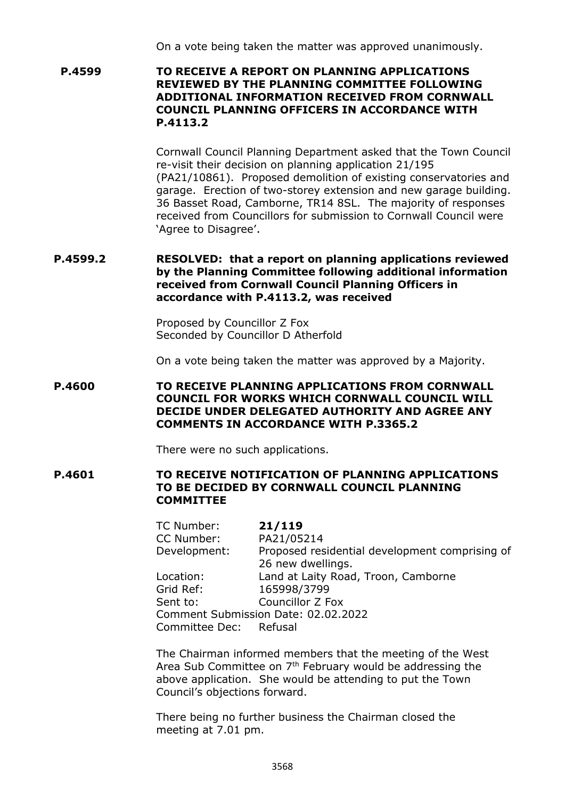On a vote being taken the matter was approved unanimously.

**P.4599 TO RECEIVE A REPORT ON PLANNING APPLICATIONS REVIEWED BY THE PLANNING COMMITTEE FOLLOWING ADDITIONAL INFORMATION RECEIVED FROM CORNWALL COUNCIL PLANNING OFFICERS IN ACCORDANCE WITH P.4113.2**

> Cornwall Council Planning Department asked that the Town Council re-visit their decision on planning application 21/195 (PA21/10861). Proposed demolition of existing conservatories and garage. Erection of two-storey extension and new garage building. 36 Basset Road, Camborne, TR14 8SL. The majority of responses received from Councillors for submission to Cornwall Council were 'Agree to Disagree'.

### **P.4599.2 RESOLVED: that a report on planning applications reviewed by the Planning Committee following additional information received from Cornwall Council Planning Officers in accordance with P.4113.2, was received**

Proposed by Councillor Z Fox Seconded by Councillor D Atherfold

On a vote being taken the matter was approved by a Majority.

### **P.4600 TO RECEIVE PLANNING APPLICATIONS FROM CORNWALL COUNCIL FOR WORKS WHICH CORNWALL COUNCIL WILL DECIDE UNDER DELEGATED AUTHORITY AND AGREE ANY COMMENTS IN ACCORDANCE WITH P.3365.2**

There were no such applications.

### **P.4601 TO RECEIVE NOTIFICATION OF PLANNING APPLICATIONS TO BE DECIDED BY CORNWALL COUNCIL PLANNING COMMITTEE**

TC Number: **21/119**  CC Number: PA21/05214 Development: Proposed residential development comprising of 26 new dwellings. Location: Land at Laity Road, Troon, Camborne Grid Ref: 165998/3799 Sent to: Councillor Z Fox Comment Submission Date: 02.02.2022 Committee Dec: Refusal

The Chairman informed members that the meeting of the West Area Sub Committee on  $7<sup>th</sup>$  February would be addressing the above application. She would be attending to put the Town Council's objections forward.

There being no further business the Chairman closed the meeting at 7.01 pm.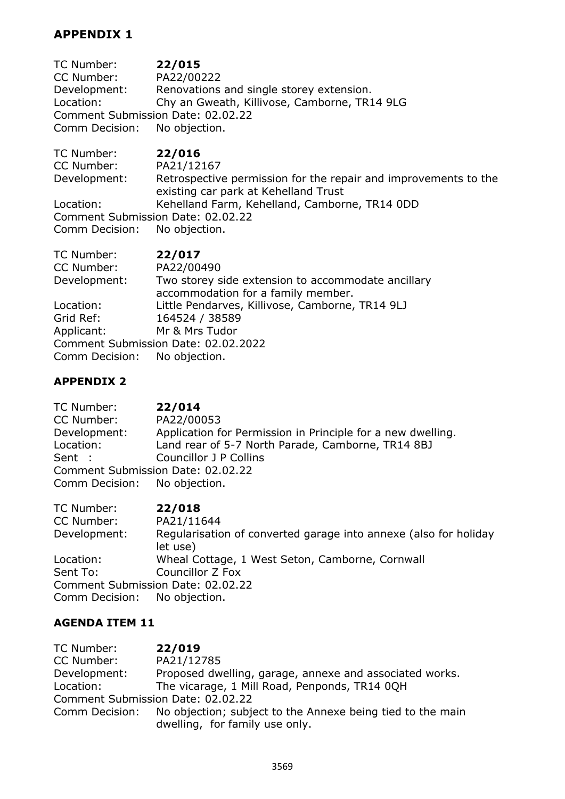# **APPENDIX 1**

TC Number: **22/015**  CC Number: PA22/00222 Development: Renovations and single storey extension. Location: Chy an Gweath, Killivose, Camborne, TR14 9LG Comment Submission Date: 02.02.22<br>Comm Decision: No objection. Comm Decision:

| TC Number:                        | 22/016                                                                                                  |
|-----------------------------------|---------------------------------------------------------------------------------------------------------|
| CC Number:                        | PA21/12167                                                                                              |
| Development:                      | Retrospective permission for the repair and improvements to the<br>existing car park at Kehelland Trust |
| Location:                         | Kehelland Farm, Kehelland, Camborne, TR14 0DD                                                           |
| Comment Submission Date: 02.02.22 |                                                                                                         |
| Comm Decision: No objection.      |                                                                                                         |

| TC Number:                   | 22/017                                                                                   |
|------------------------------|------------------------------------------------------------------------------------------|
| CC Number:                   | PA22/00490                                                                               |
| Development:                 | Two storey side extension to accommodate ancillary<br>accommodation for a family member. |
| Location:                    | Little Pendarves, Killivose, Camborne, TR14 9LJ                                          |
| Grid Ref:                    | 164524 / 38589                                                                           |
| Applicant:                   | Mr & Mrs Tudor                                                                           |
|                              | Comment Submission Date: 02.02.2022                                                      |
| Comm Decision: No objection. |                                                                                          |

# **APPENDIX 2**

| 22/014                                                      |  |
|-------------------------------------------------------------|--|
| PA22/00053                                                  |  |
| Application for Permission in Principle for a new dwelling. |  |
| Land rear of 5-7 North Parade, Camborne, TR14 8BJ           |  |
| Councillor J P Collins                                      |  |
| Comment Submission Date: 02.02.22                           |  |
| Comm Decision: No objection.                                |  |
|                                                             |  |

| TC Number:                   | 22/018                                                                       |
|------------------------------|------------------------------------------------------------------------------|
| CC Number:                   | PA21/11644                                                                   |
| Development:                 | Regularisation of converted garage into annexe (also for holiday<br>let use) |
| Location:                    | Wheal Cottage, 1 West Seton, Camborne, Cornwall                              |
| Sent To:                     | Councillor Z Fox                                                             |
|                              | Comment Submission Date: 02.02.22                                            |
| Comm Decision: No objection. |                                                                              |

# **AGENDA ITEM 11**

| TC Number:   | 22/019                                                                    |
|--------------|---------------------------------------------------------------------------|
| CC Number:   | PA21/12785                                                                |
| Development: | Proposed dwelling, garage, annexe and associated works.                   |
| Location:    | The vicarage, 1 Mill Road, Penponds, TR14 0QH                             |
|              | Comment Submission Date: 02.02.22                                         |
|              | Comm Decision: No objection; subject to the Annexe being tied to the main |
|              | dwelling, for family use only.                                            |